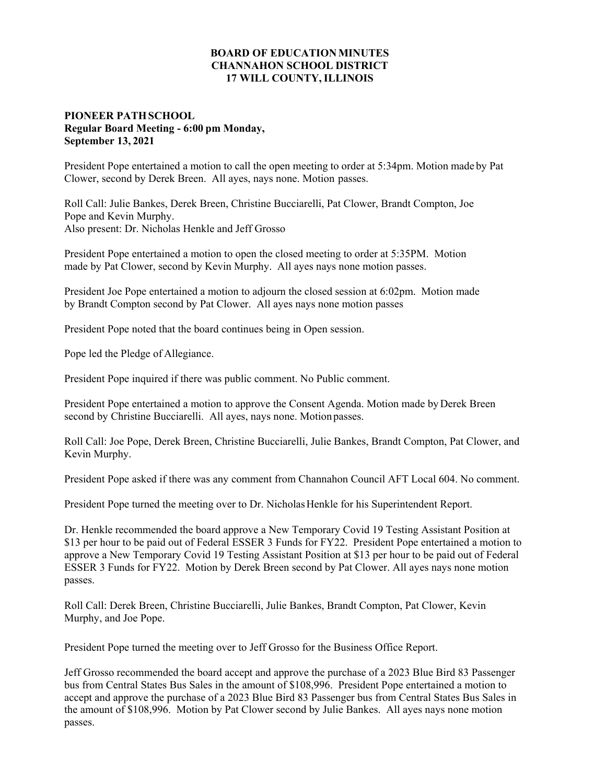## **BOARD OF EDUCATION MINUTES CHANNAHON SCHOOL DISTRICT 17 WILL COUNTY, ILLINOIS**

## **PIONEER PATH SCHOOL Regular Board Meeting - 6:00 pm Monday, September 13, 2021**

President Pope entertained a motion to call the open meeting to order at 5:34pm. Motion made by Pat Clower, second by Derek Breen. All ayes, nays none. Motion passes.

Roll Call: Julie Bankes, Derek Breen, Christine Bucciarelli, Pat Clower, Brandt Compton, Joe Pope and Kevin Murphy. Also present: Dr. Nicholas Henkle and Jeff Grosso

President Pope entertained a motion to open the closed meeting to order at 5:35PM. Motion made by Pat Clower, second by Kevin Murphy. All ayes nays none motion passes.

President Joe Pope entertained a motion to adjourn the closed session at 6:02pm. Motion made by Brandt Compton second by Pat Clower. All ayes nays none motion passes

President Pope noted that the board continues being in Open session.

Pope led the Pledge of Allegiance.

President Pope inquired if there was public comment. No Public comment.

President Pope entertained a motion to approve the Consent Agenda. Motion made by Derek Breen second by Christine Bucciarelli. All ayes, nays none. Motion passes.

Roll Call: Joe Pope, Derek Breen, Christine Bucciarelli, Julie Bankes, Brandt Compton, Pat Clower, and Kevin Murphy.

President Pope asked if there was any comment from Channahon Council AFT Local 604. No comment.

President Pope turned the meeting over to Dr. Nicholas Henkle for his Superintendent Report.

Dr. Henkle recommended the board approve a New Temporary Covid 19 Testing Assistant Position at \$13 per hour to be paid out of Federal ESSER 3 Funds for FY22. President Pope entertained a motion to approve a New Temporary Covid 19 Testing Assistant Position at \$13 per hour to be paid out of Federal ESSER 3 Funds for FY22. Motion by Derek Breen second by Pat Clower. All ayes nays none motion passes.

Roll Call: Derek Breen, Christine Bucciarelli, Julie Bankes, Brandt Compton, Pat Clower, Kevin Murphy, and Joe Pope.

President Pope turned the meeting over to Jeff Grosso for the Business Office Report.

Jeff Grosso recommended the board accept and approve the purchase of a 2023 Blue Bird 83 Passenger bus from Central States Bus Sales in the amount of \$108,996. President Pope entertained a motion to accept and approve the purchase of a 2023 Blue Bird 83 Passenger bus from Central States Bus Sales in the amount of \$108,996. Motion by Pat Clower second by Julie Bankes. All ayes nays none motion passes.